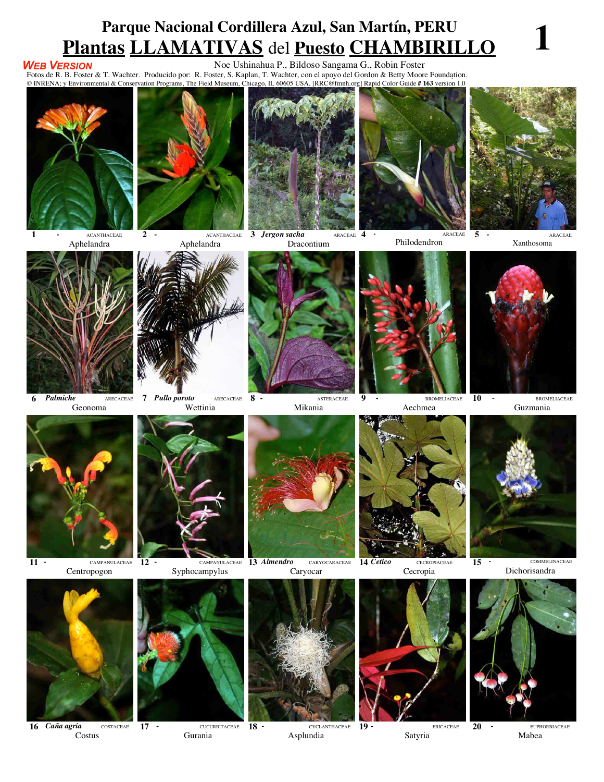## **Parque Nacional Cordillera Azul, San Martín, PERU Plantas LLAMATIVAS** del **Puesto CHAMBIRILLO 1**

## *WEB VERSION*

Noe Ushinahua P., Bildoso Sangama G., Robin Foster

Fotos de R. B. Foster & T. Wachter. Producido por: R. Foster, S. Kaplan, T. Wachter, con el apoyo del Gordon & Betty Moore Foundation. © INRENA; y Environmental & Conservation Programs, The Field Museum, Chicago, IL 60605 USA. [RRC@fmnh.org] Rapid Color Guide **# 163** versión 1.0



**1** *-* ACANTHACEAE Aphelandra



**2** *-* ACANTHACEAE Aphelandra

**3** *Jergon sacha* **ARACEAE 4** Dracontium





Philodendron

**4** *-* ARACEAE





Geonoma



**7** *Pullo poroto* ARECACEAE



**11** *-* CAMPANULACEAE **12** *-* CAMPANULACEAE **13** *Almendro* CARYOCARACEAE



**16** *Caña agria* **COSTACEAE** Costus

Centropogon

**17 - CUCURBITACEAE 18 -**Gurania







**14** *Cetico* CECROPIACEAE Cecropia



**19** *-* ERICACEAE Satyria

**5** *-* ARACEAE Xanthosoma



**10** - BROMELIACEAE Guzmania



**15** *-* COMMELINACEAE Dichorisandra



**20** *-* EUPHORBIACEAE Mabea

Caryocar